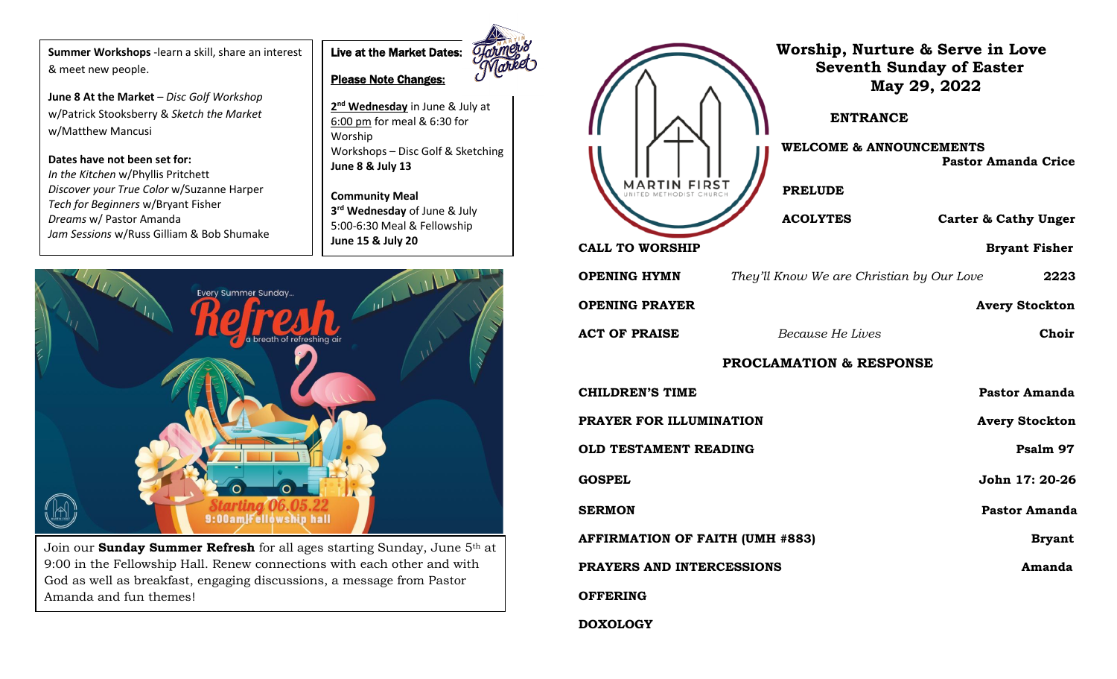**Summer Workshops** -learn a skill, share an interest & meet new people.

**June 8 At the Market** – *Disc Golf Workshop* w/Patrick Stooksberry & *Sketch the Market* w/Matthew Mancusi

**Dates have not been set for:** *In the Kitchen* w/Phyllis Pritchett *Discover your True Color* w/Suzanne Harper *Tech for Beginners* w/Bryant Fisher *Dreams* w/ Pastor Amanda *Jam Sessions* w/Russ Gilliam & Bob Shumake



**2 nd Wednesday** in June & July at 6:00 pm for meal & 6:30 for Worship Workshops – Disc Golf & Sketching **June 8 & July 13**

**Community Meal 3 rd Wednesday** of June & July 5:00-6:30 Meal & Fellowship **June 15 & July 20**



Join our **Sunday Summer Refresh** for all ages starting Sunday, June 5th at 9:00 in the Fellowship Hall. Renew connections with each other and with God as well as breakfast, engaging discussions, a message from Pastor Amanda and fun themes!

|                                        | <b>ENTRANCE</b><br><b>WELCOME &amp; ANNOUNCEMENTS</b><br><b>PRELUDE</b> | Worship, Nurture & Serve in Love<br><b>Seventh Sunday of Easter</b><br>May 29, 2022<br><b>Pastor Amanda Crice</b> |  |
|----------------------------------------|-------------------------------------------------------------------------|-------------------------------------------------------------------------------------------------------------------|--|
|                                        | <b>ACOLYTES</b>                                                         | <b>Carter &amp; Cathy Unger</b>                                                                                   |  |
| <b>CALL TO WORSHIP</b>                 |                                                                         | <b>Bryant Fisher</b>                                                                                              |  |
| <b>OPENING HYMN</b>                    | They'll Know We are Christian by Our Love                               | 2223                                                                                                              |  |
| <b>OPENING PRAYER</b>                  |                                                                         | <b>Avery Stockton</b>                                                                                             |  |
| <b>ACT OF PRAISE</b>                   | Because He Lives                                                        | Choir                                                                                                             |  |
| <b>PROCLAMATION &amp; RESPONSE</b>     |                                                                         |                                                                                                                   |  |
| <b>CHILDREN'S TIME</b>                 |                                                                         | <b>Pastor Amanda</b>                                                                                              |  |
| PRAYER FOR ILLUMINATION                |                                                                         | <b>Avery Stockton</b>                                                                                             |  |
| <b>OLD TESTAMENT READING</b>           |                                                                         | Psalm 97                                                                                                          |  |
| <b>GOSPEL</b>                          |                                                                         | John 17: 20-26                                                                                                    |  |
| <b>SERMON</b>                          |                                                                         | <b>Pastor Amanda</b>                                                                                              |  |
| <b>AFFIRMATION OF FAITH (UMH #883)</b> |                                                                         | <b>Bryant</b>                                                                                                     |  |
| PRAYERS AND INTERCESSIONS              |                                                                         | Amanda                                                                                                            |  |
| <b>OFFERING</b>                        |                                                                         |                                                                                                                   |  |
| <b>DOXOLOGY</b>                        |                                                                         |                                                                                                                   |  |